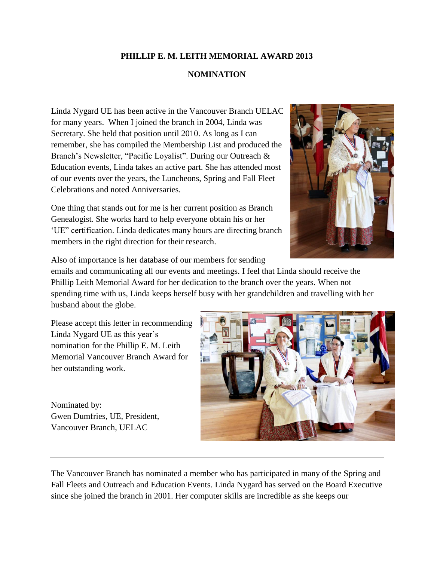## **PHILLIP E. M. LEITH MEMORIAL AWARD 2013**

## **NOMINATION**

Linda Nygard UE has been active in the Vancouver Branch UELAC for many years. When I joined the branch in 2004, Linda was Secretary. She held that position until 2010. As long as I can remember, she has compiled the Membership List and produced the Branch's Newsletter, "Pacific Loyalist". During our Outreach & Education events, Linda takes an active part. She has attended most of our events over the years, the Luncheons, Spring and Fall Fleet Celebrations and noted Anniversaries.

One thing that stands out for me is her current position as Branch Genealogist. She works hard to help everyone obtain his or her 'UE" certification. Linda dedicates many hours are directing branch members in the right direction for their research.



Also of importance is her database of our members for sending

emails and communicating all our events and meetings. I feel that Linda should receive the Phillip Leith Memorial Award for her dedication to the branch over the years. When not spending time with us, Linda keeps herself busy with her grandchildren and travelling with her husband about the globe.

Please accept this letter in recommending Linda Nygard UE as this year's nomination for the Phillip E. M. Leith Memorial Vancouver Branch Award for her outstanding work.

Nominated by: Gwen Dumfries, UE, President, Vancouver Branch, UELAC



The Vancouver Branch has nominated a member who has participated in many of the Spring and Fall Fleets and Outreach and Education Events. Linda Nygard has served on the Board Executive since she joined the branch in 2001. Her computer skills are incredible as she keeps our